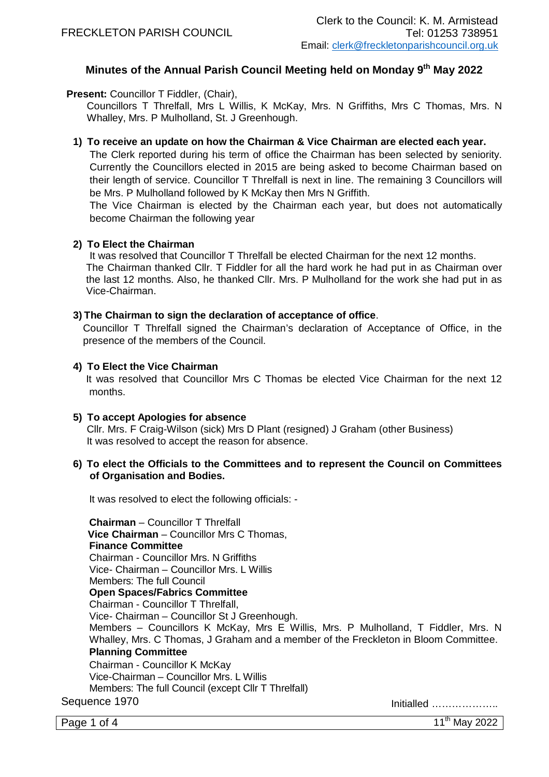# **Minutes of the Annual Parish Council Meeting held on Monday 9 th May 2022**

**Present:** Councillor T Fiddler, (Chair),

Councillors T Threlfall, Mrs L Willis, K McKay, Mrs. N Griffiths, Mrs C Thomas, Mrs. N Whalley, Mrs. P Mulholland, St. J Greenhough.

# **1) To receive an update on how the Chairman & Vice Chairman are elected each year.**

The Clerk reported during his term of office the Chairman has been selected by seniority. Currently the Councillors elected in 2015 are being asked to become Chairman based on their length of service. Councillor T Threlfall is next in line. The remaining 3 Councillors will be Mrs. P Mulholland followed by K McKay then Mrs N Griffith.

The Vice Chairman is elected by the Chairman each year, but does not automatically become Chairman the following year

# **2) To Elect the Chairman**

It was resolved that Councillor T Threlfall be elected Chairman for the next 12 months. The Chairman thanked Cllr. T Fiddler for all the hard work he had put in as Chairman over the last 12 months. Also, he thanked Cllr. Mrs. P Mulholland for the work she had put in as Vice-Chairman.

## **3) The Chairman to sign the declaration of acceptance of office**.

Councillor T Threlfall signed the Chairman's declaration of Acceptance of Office, in the presence of the members of the Council.

# **4) To Elect the Vice Chairman**

It was resolved that Councillor Mrs C Thomas be elected Vice Chairman for the next 12 months.

#### **5) To accept Apologies for absence**

Cllr. Mrs. F Craig-Wilson (sick) Mrs D Plant (resigned) J Graham (other Business) It was resolved to accept the reason for absence.

## **6) To elect the Officials to the Committees and to represent the Council on Committees of Organisation and Bodies.**

It was resolved to elect the following officials: -

Sequence 1970 Initialled ……………….. **Chairman** – Councillor T Threlfall **Vice Chairman** – Councillor Mrs C Thomas, **Finance Committee** Chairman - Councillor Mrs. N Griffiths Vice- Chairman – Councillor Mrs. L Willis Members: The full Council **Open Spaces/Fabrics Committee**  Chairman - Councillor T Threlfall, Vice- Chairman – Councillor St J Greenhough. Members – Councillors K McKay, Mrs E Willis, Mrs. P Mulholland, T Fiddler, Mrs. N Whalley, Mrs. C Thomas, J Graham and a member of the Freckleton in Bloom Committee. **Planning Committee** Chairman - Councillor K McKay Vice-Chairman – Councillor Mrs. L Willis Members: The full Council (except Cllr T Threlfall)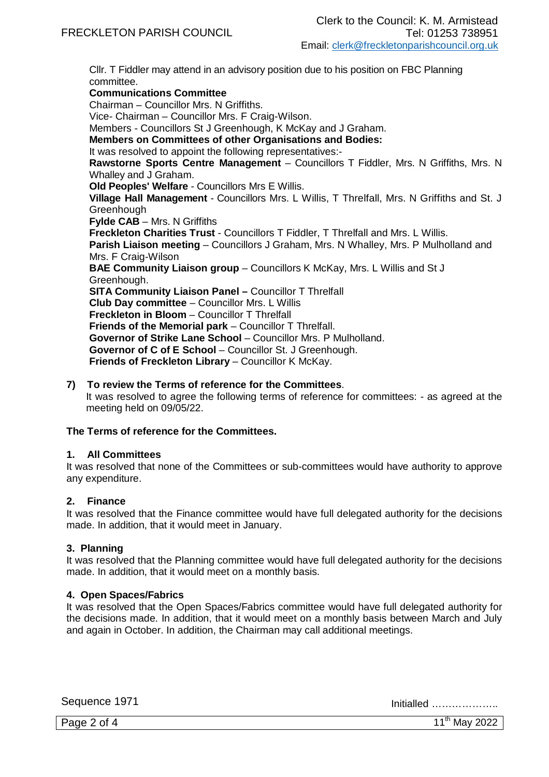Cllr. T Fiddler may attend in an advisory position due to his position on FBC Planning committee. **Communications Committee** Chairman – Councillor Mrs. N Griffiths. Vice- Chairman – Councillor Mrs. F Craig-Wilson. Members - Councillors St J Greenhough, K McKay and J Graham. **Members on Committees of other Organisations and Bodies:** It was resolved to appoint the following representatives:- **Rawstorne Sports Centre Management** – Councillors T Fiddler, Mrs. N Griffiths, Mrs. N Whalley and J Graham. **Old Peoples' Welfare** - Councillors Mrs E Willis. **Village Hall Management** - Councillors Mrs. L Willis, T Threlfall, Mrs. N Griffiths and St. J **Greenhough Fylde CAB** – Mrs. N Griffiths **Freckleton Charities Trust** - Councillors T Fiddler, T Threlfall and Mrs. L Willis. Parish Liaison meeting - Councillors J Graham, Mrs. N Whalley, Mrs. P Mulholland and Mrs. F Craig-Wilson **BAE Community Liaison group – Councillors K McKay, Mrs. L Willis and St J** Greenhough. **SITA Community Liaison Panel –** Councillor T Threlfall **Club Day committee** – Councillor Mrs. L Willis **Freckleton in Bloom** – Councillor T Threlfall **Friends of the Memorial park** – Councillor T Threlfall.

**Governor of Strike Lane School** – Councillor Mrs. P Mulholland.

**Governor of C of E School** – Councillor St. J Greenhough.

**Friends of Freckleton Library** – Councillor K McKay.

#### **7) To review the Terms of reference for the Committees**.

It was resolved to agree the following terms of reference for committees: - as agreed at the meeting held on 09/05/22.

#### **The Terms of reference for the Committees.**

#### **1. All Committees**

It was resolved that none of the Committees or sub-committees would have authority to approve any expenditure.

## **2. Finance**

It was resolved that the Finance committee would have full delegated authority for the decisions made. In addition, that it would meet in January.

#### **3. Planning**

It was resolved that the Planning committee would have full delegated authority for the decisions made. In addition, that it would meet on a monthly basis.

#### **4. Open Spaces/Fabrics**

It was resolved that the Open Spaces/Fabrics committee would have full delegated authority for the decisions made. In addition, that it would meet on a monthly basis between March and July and again in October. In addition, the Chairman may call additional meetings.

Sequence 1971 Initialled ………………..

Page 2 of 4  $11<sup>th</sup>$  May 2022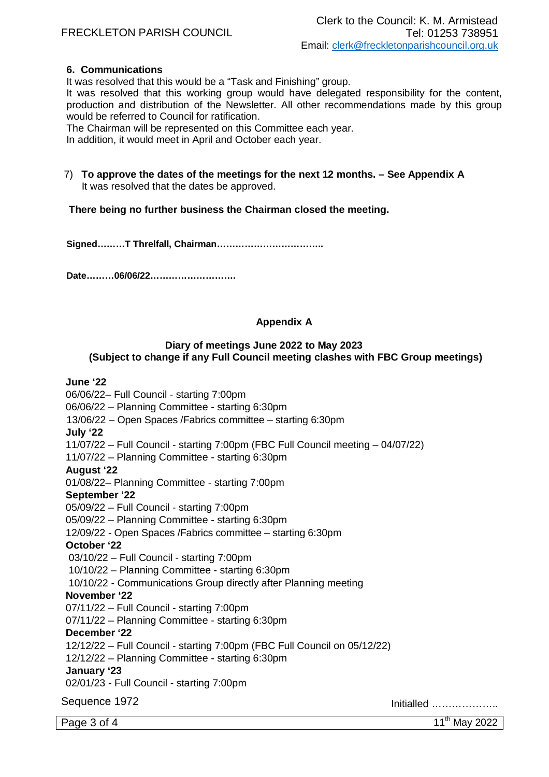# FRECKLETON PARISH COUNCIL

# **6. Communications**

It was resolved that this would be a "Task and Finishing" group.

It was resolved that this working group would have delegated responsibility for the content, production and distribution of the Newsletter. All other recommendations made by this group would be referred to Council for ratification.

The Chairman will be represented on this Committee each year.

In addition, it would meet in April and October each year.

7) **To approve the dates of the meetings for the next 12 months. – See Appendix A** It was resolved that the dates be approved.

# **There being no further business the Chairman closed the meeting.**

**Signed………T Threlfall, Chairman……………………………..**

**Date………06/06/22……………………….**

# **Appendix A**

# **Diary of meetings June 2022 to May 2023 (Subject to change if any Full Council meeting clashes with FBC Group meetings)**

## **June '22**

06/06/22– Full Council - starting 7:00pm

06/06/22 – Planning Committee - starting 6:30pm

13/06/22 – Open Spaces /Fabrics committee – starting 6:30pm

**July '22** 

11/07/22 – Full Council - starting 7:00pm (FBC Full Council meeting – 04/07/22)

11/07/22 – Planning Committee - starting 6:30pm

#### **August '22**

01/08/22– Planning Committee - starting 7:00pm

# **September '22**

05/09/22 – Full Council - starting 7:00pm

05/09/22 – Planning Committee - starting 6:30pm

12/09/22 - Open Spaces /Fabrics committee – starting 6:30pm

#### **October '22**

03/10/22 – Full Council - starting 7:00pm

10/10/22 – Planning Committee - starting 6:30pm

10/10/22 - Communications Group directly after Planning meeting

#### **November '22**

07/11/22 – Full Council - starting 7:00pm

07/11/22 – Planning Committee - starting 6:30pm

### **December '22**

12/12/22 – Full Council - starting 7:00pm (FBC Full Council on 05/12/22)

12/12/22 – Planning Committee - starting 6:30pm

#### **January '23**

02/01/23 - Full Council - starting 7:00pm

Sequence 1972 Initialled ………………..

Page  $3$  of  $4$  11<sup>th</sup> May 2022